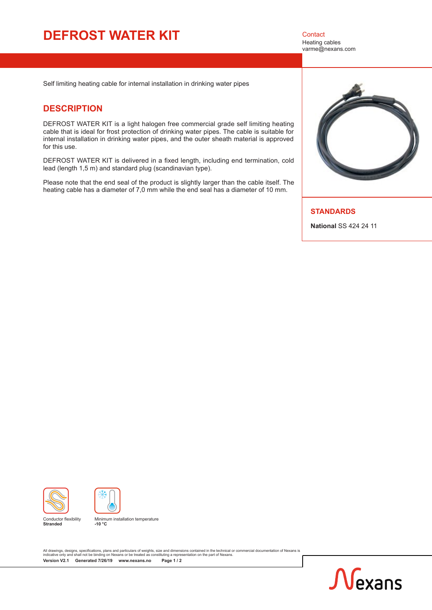# **DEFROST WATER KIT** Contact

Heating cables varme@nexans.com

Self limiting heating cable for internal installation in drinking water pipes

#### **DESCRIPTION**

DEFROST WATER KIT is a light halogen free commercial grade self limiting heating cable that is ideal for frost protection of drinking water pipes. The cable is suitable for internal installation in drinking water pipes, and the outer sheath material is approved for this use.

DEFROST WATER KIT is delivered in a fixed length, including end termination, cold lead (length 1,5 m) and standard plug (scandinavian type).

Please note that the end seal of the product is slightly larger than the cable itself. The heating cable has a diameter of 7,0 mm while the end seal has a diameter of 10 mm.



#### **STANDARDS**

**National** SS 424 24 11





Conductor flexibility **Stranded**



All drawings, designs, specifications, plans and particulars of weights, size and dimensions contained in the technical or commercial documentation of Nexans is<br>indicative only and shall not be binding on Nexans or be trea **Version V2.1 Generated 7/26/19 [www.nexans.no](http://www.nexans.no/eservice/DirectToFamily.nx?CZ=Norway&language=en&familyId=19622) Page 1 / 2**